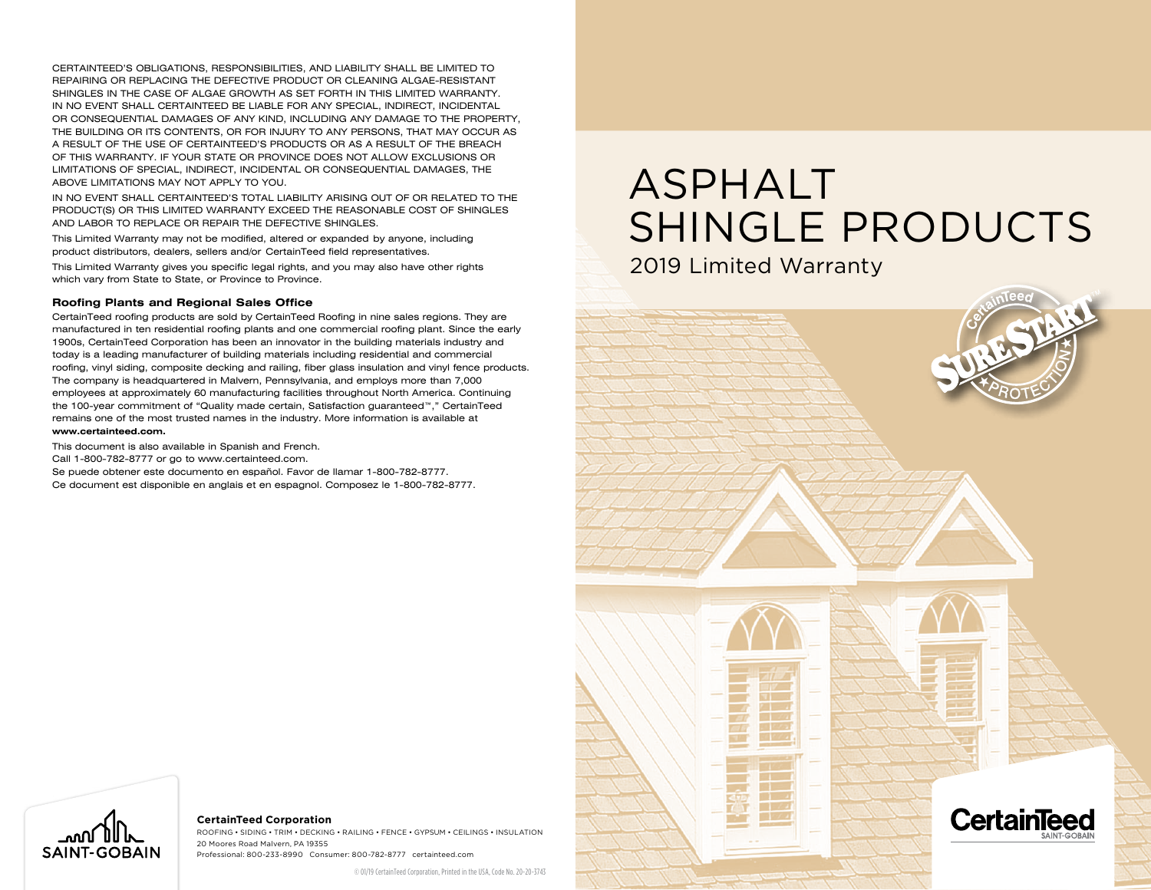CERTAINTEED'S OBLIGATIONS, RESPONSIBILITIES, AND LIABILITY SHALL BE LIMITED TO REPAIRING OR REPLACING THE DEFECTIVE PRODUCT OR CLEANING ALGAE-RESISTANT SHINGLES IN THE CASE OF ALGAE GROWTH AS SET FORTH IN THIS LIMITED WARRANTY. IN NO EVENT SHALL CERTAINTEED BE LIABLE FOR ANY SPECIAL, INDIRECT, INCIDENTAL OR CONSEQUENTIAL DAMAGES OF ANY KIND, INCLUDING ANY DAMAGE TO THE PROPERTY, THE BUILDING OR ITS CONTENTS, OR FOR INJURY TO ANY PERSONS, THAT MAY OCCUR AS A RESULT OF THE USE OF CERTAINTEED'S PRODUCTS OR AS A RESULT OF THE BREACH OF THIS WARRANTY. IF YOUR STATE OR PROVINCE DOES NOT ALLOW EXCLUSIONS OR LIMITATIONS OF SPECIAL, INDIRECT, INCIDENTAL OR CONSEQUENTIAL DAMAGES, THE ABOVE LIMITATIONS MAY NOT APPLY TO YOU.

IN NO EVENT SHALL CERTAINTEED'S TOTAL LIABILITY ARISING OUT OF OR RELATED TO THE PRODUCT(S) OR THIS LIMITED WARRANTY EXCEED THE REASONABLE COST OF SHINGLES AND LABOR TO REPLACE OR REPAIR THE DEFECTIVE SHINGLES.

This Limited Warranty may not be modified, altered or expanded by anyone, including product distributors, dealers, sellers and/or CertainTeed field representatives.

This Limited Warranty gives you specific legal rights, and you may also have other rights which vary from State to State, or Province to Province.

#### **Roofing Plants and Regional Sales Office**

CertainTeed roofing products are sold by CertainTeed Roofing in nine sales regions. They are manufactured in ten residential roofing plants and one commercial roofing plant. Since the early 1900s, CertainTeed Corporation has been an innovator in the building materials industry and today is a leading manufacturer of building materials including residential and commercial roofing, vinyl siding, composite decking and railing, fiber glass insulation and vinyl fence products. The company is headquartered in Malvern, Pennsylvania, and employs more than 7,000 employees at approximately 60 manufacturing facilities throughout North America. Continuing the 100-year commitment of "Quality made certain, Satisfaction guaranteed™," CertainTeed remains one of the most trusted names in the industry. More information is available at **www.certainteed.com.**

This document is also available in Spanish and French.

Call 1-800-782-8777 or go to www.certainteed.com.

Se puede obtener este documento en español. Favor de llamar 1-800-782-8777. Ce document est disponible en anglais et en espagnol. Composez le 1-800-782-8777.

# ASPHALT SHINGLE PRODUCTS

2019 Limited Warranty



**SAINT-GOBAIN** 

#### **CertainTeed Corporation**

ROOFING • SIDING • TRIM • DECKING • RAILING • FENCE • Gypsum • CEILINGS • INSULATION 20 Moores Road Malvern, PA 19355 Professional: 800-233-8990 Consumer: 800-782-8777 certainteed.com

© 01/19 CertainTeed Corporation, Printed in the USA, Code No. 20-20-3743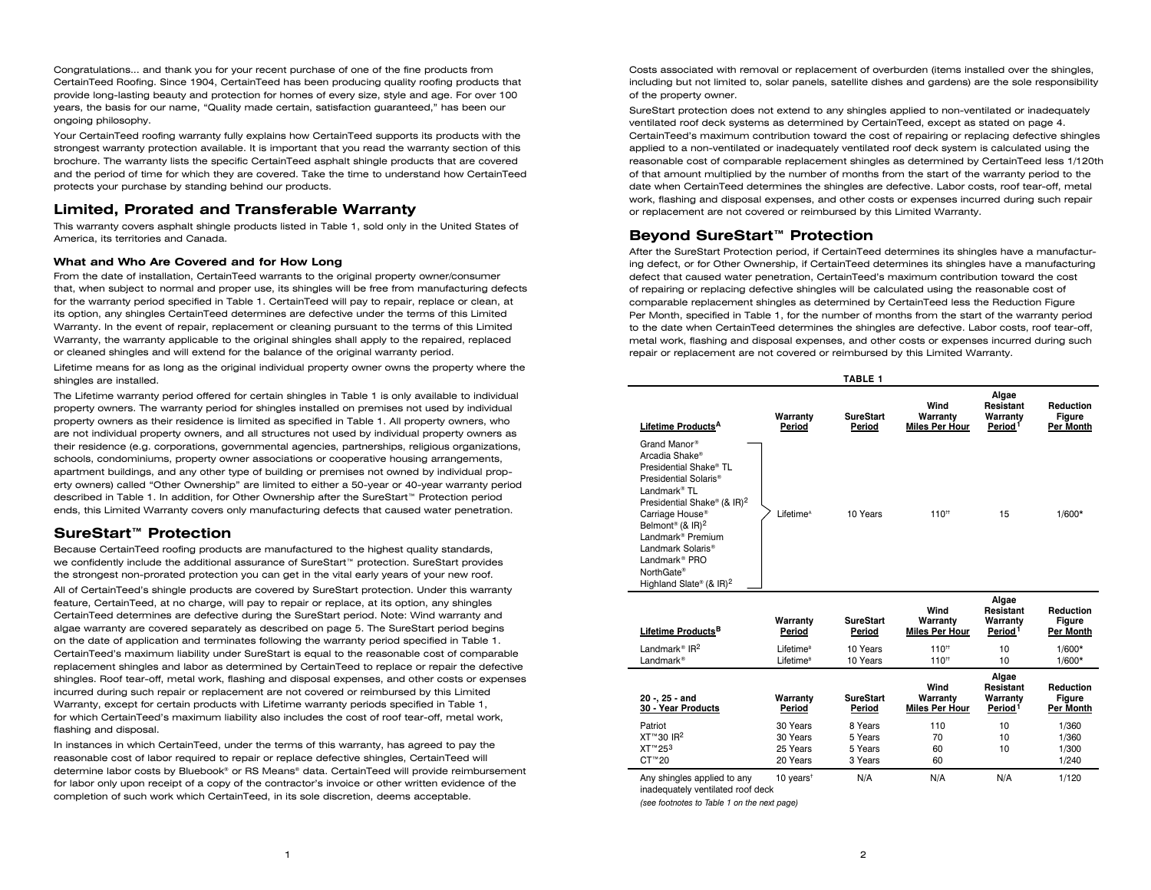Congratulations... and thank you for your recent purchase of one of the fine products from CertainTeed Roofing. Since 1904, CertainTeed has been producing quality roofing products that provide long-lasting beauty and protection for homes of every size, style and age. For over 100 years, the basis for our name, "Quality made certain, satisfaction guaranteed," has been our ongoing philosophy.

Your CertainTeed roofing warranty fully explains how CertainTeed supports its products with the strongest warranty protection available. It is important that you read the warranty section of this brochure. The warranty lists the specific CertainTeed asphalt shingle products that are covered and the period of time for which they are covered. Take the time to understand how CertainTeed protects your purchase by standing behind our products.

## **Limited, Prorated and Transferable Warranty**

This warranty covers asphalt shingle products listed in Table 1, sold only in the United States of America, its territories and Canada.

## **What and Who Are Covered and for How Long**

From the date of installation, CertainTeed warrants to the original property owner/consumer that, when subject to normal and proper use, its shingles will be free from manufacturing defects for the warranty period specified in Table 1. CertainTeed will pay to repair, replace or clean, at its option, any shingles CertainTeed determines are defective under the terms of this Limited Warranty. In the event of repair, replacement or cleaning pursuant to the terms of this Limited Warranty, the warranty applicable to the original shingles shall apply to the repaired, replaced or cleaned shingles and will extend for the balance of the original warranty period.

Lifetime means for as long as the original individual property owner owns the property where the shingles are installed.

The Lifetime warranty period offered for certain shingles in Table 1 is only available to individual property owners. The warranty period for shingles installed on premises not used by individual property owners as their residence is limited as specified in Table 1. All property owners, who are not individual property owners, and all structures not used by individual property owners as their residence (e.g. corporations, governmental agencies, partnerships, religious organizations, schools, condominiums, property owner associations or cooperative housing arrangements, apartment buildings, and any other type of building or premises not owned by individual property owners) called "Other Ownership" are limited to either a 50-year or 40-year warranty period described in Table 1. In addition, for Other Ownership after the SureStart™ Protection period ends, this Limited Warranty covers only manufacturing defects that caused water penetration.

## **SureStart™ Protection**

Because CertainTeed roofing products are manufactured to the highest quality standards, we confidently include the additional assurance of SureStart™ protection. SureStart provides the strongest non-prorated protection you can get in the vital early years of your new roof.

All of CertainTeed's shingle products are covered by SureStart protection. Under this warranty feature, CertainTeed, at no charge, will pay to repair or replace, at its option, any shingles CertainTeed determines are defective during the SureStart period. Note: Wind warranty and algae warranty are covered separately as described on page 5. The SureStart period begins on the date of application and terminates following the warranty period specified in Table 1. CertainTeed's maximum liability under SureStart is equal to the reasonable cost of comparable replacement shingles and labor as determined by CertainTeed to replace or repair the defective shingles. Roof tear-off, metal work, flashing and disposal expenses, and other costs or expenses incurred during such repair or replacement are not covered or reimbursed by this Limited Warranty, except for certain products with Lifetime warranty periods specified in Table 1, for which CertainTeed's maximum liability also includes the cost of roof tear-off, metal work, flashing and disposal.

In instances in which CertainTeed, under the terms of this warranty, has agreed to pay the reasonable cost of labor required to repair or replace defective shingles, CertainTeed will determine labor costs by Bluebook® or RS Means® data. CertainTeed will provide reimbursement for labor only upon receipt of a copy of the contractor's invoice or other written evidence of the completion of such work which CertainTeed, in its sole discretion, deems acceptable.

Costs associated with removal or replacement of overburden (items installed over the shingles, including but not limited to, solar panels, satellite dishes and gardens) are the sole responsibility of the property owner.

SureStart protection does not extend to any shingles applied to non-ventilated or inadequately ventilated roof deck systems as determined by CertainTeed, except as stated on page 4. CertainTeed's maximum contribution toward the cost of repairing or replacing defective shingles applied to a non-ventilated or inadequately ventilated roof deck system is calculated using the reasonable cost of comparable replacement shingles as determined by CertainTeed less 1/120th of that amount multiplied by the number of months from the start of the warranty period to the date when CertainTeed determines the shingles are defective. Labor costs, roof tear-off, metal work, flashing and disposal expenses, and other costs or expenses incurred during such repair or replacement are not covered or reimbursed by this Limited Warranty.

## **Beyond SureStart™ Protection**

After the SureStart Protection period, if CertainTeed determines its shingles have a manufacturing defect, or for Other Ownership, if CertainTeed determines its shingles have a manufacturing defect that caused water penetration, CertainTeed's maximum contribution toward the cost of repairing or replacing defective shingles will be calculated using the reasonable cost of comparable replacement shingles as determined by CertainTeed less the Reduction Figure Per Month, specified in Table 1, for the number of months from the start of the warranty period to the date when CertainTeed determines the shingles are defective. Labor costs, roof tear-off, metal work, flashing and disposal expenses, and other costs or expenses incurred during such repair or replacement are not covered or reimbursed by this Limited Warranty.

|                                                                                                                                                                                                                                                                                                                                                                                         |                                                      | TABLE 1                                  |                                           |                                                       |                                                |
|-----------------------------------------------------------------------------------------------------------------------------------------------------------------------------------------------------------------------------------------------------------------------------------------------------------------------------------------------------------------------------------------|------------------------------------------------------|------------------------------------------|-------------------------------------------|-------------------------------------------------------|------------------------------------------------|
| Lifetime Products <sup>A</sup>                                                                                                                                                                                                                                                                                                                                                          | Warranty<br>Period                                   | <b>SureStart</b><br>Period               | Wind<br>Warranty<br><b>Miles Per Hour</b> | Algae<br>Resistant<br>Warranty<br>Period <sup>1</sup> | Reduction<br>Figure<br><b>Per Month</b>        |
| Grand Manor®<br>Arcadia Shake®<br>Presidential Shake® TL<br>Presidential Solaris <sup>®</sup><br>Landmark® TL<br>Presidential Shake® (& IR) <sup>2</sup><br>Carriage House <sup>®</sup><br>Belmont <sup>®</sup> (& IR) <sup>2</sup><br>Landmark <sup>®</sup> Premium<br>Landmark Solaris <sup>®</sup><br>Landmark <sup>®</sup> PRO<br>NorthGate®<br>Highland Slate® (& IR) <sup>2</sup> | Lifetime <sup>A</sup>                                | 10 Years                                 | $110^{+1}$                                | 15                                                    | $1/600*$                                       |
|                                                                                                                                                                                                                                                                                                                                                                                         |                                                      |                                          |                                           | Algae                                                 |                                                |
| Lifetime Products <sup>B</sup>                                                                                                                                                                                                                                                                                                                                                          | Warranty<br>Period                                   | <b>SureStart</b><br>Period               | Wind<br>Warranty<br><b>Miles Per Hour</b> | Resistant<br>Warranty<br>Period <sup>1</sup>          | Reduction<br><b>Figure</b><br>Per Month        |
| Landmark <sup>®</sup> IR <sup>2</sup><br>Landmark <sup>®</sup>                                                                                                                                                                                                                                                                                                                          | Lifetime <sup>B</sup><br><b>Lifetime<sup>B</sup></b> | 10 Years<br>10 Years                     | $110^{+1}$<br>$110^{+}$                   | 10<br>10                                              | $1/600*$<br>$1/600*$                           |
| 20 -, 25 - and<br>30 - Year Products                                                                                                                                                                                                                                                                                                                                                    | Warranty<br>Period                                   | <b>SureStart</b><br>Period               | Wind<br>Warranty<br><b>Miles Per Hour</b> | Algae<br>Resistant<br>Warranty<br>Period <sup>1</sup> | <b>Reduction</b><br><b>Figure</b><br>Per Month |
| Patriot<br>$XT^{m}30$ IR <sup>2</sup><br>XT™253<br>CT <sup>™</sup> 20                                                                                                                                                                                                                                                                                                                   | 30 Years<br>30 Years<br>25 Years<br>20 Years         | 8 Years<br>5 Years<br>5 Years<br>3 Years | 110<br>70<br>60<br>60                     | 10<br>10<br>10                                        | 1/360<br>1/360<br>1/300<br>1/240               |

*(see footnotes to Table 1 on the next page)*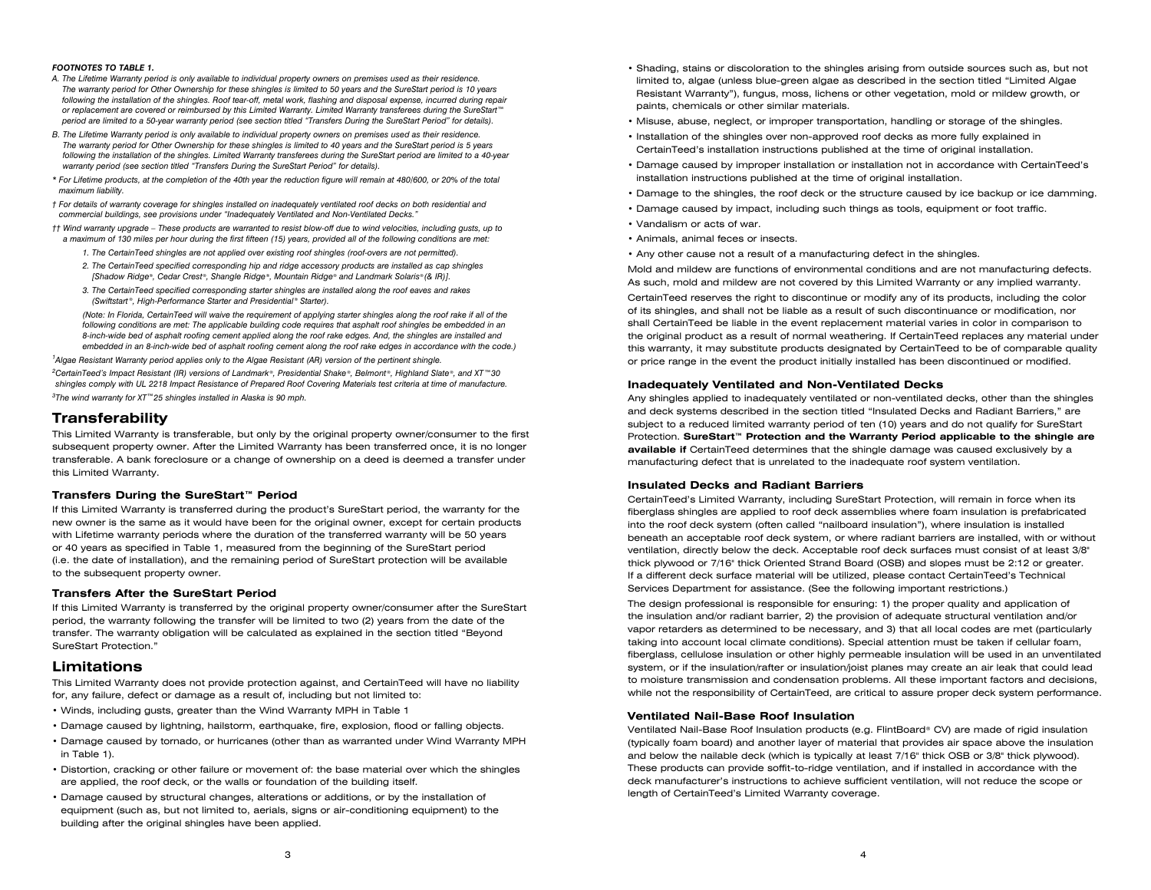#### *FOOTNOTES TO TABLE 1.*

- *A. The Lifetime Warranty period is only available to individual property owners on premises used as their residence. The warranty period for Other Ownership for these shingles is limited to 50 years and the SureStart period is 10 years following the installation of the shingles. Roof tear-off, metal work, flashing and disposal expense, incurred during repair or replacement are covered or reimbursed by this Limited Warranty. Limited Warranty transferees during the SureStart™ period are limited to a 50-year warranty period (see section titled "Transfers During the SureStart Period" for details).*
- *B. The Lifetime Warranty period is only available to individual property owners on premises used as their residence. The warranty period for Other Ownership for these shingles is limited to 40 years and the SureStart period is 5 years following the installation of the shingles. Limited Warranty transferees during the SureStart period are limited to a 40-year warranty period (see section titled "Transfers During the SureStart Period" for details).*
- *\* For Lifetime products, at the completion of the 40th year the reduction figure will remain at 480/600, or 20% of the total maximum liability.*
- *† For details of warranty coverage for shingles installed on inadequately ventilated roof decks on both residential and commercial buildings, see provisions under "Inadequately Ventilated and Non-Ventilated Decks."*
- *†† Wind warranty upgrade These products are warranted to resist blow-off due to wind velocities, including gusts, up to a maximum of 130 miles per hour during the first fifteen (15) years, provided all of the following conditions are met:*
	- *1. The CertainTeed shingles are not applied over existing roof shingles (roof-overs are not permitted).*
	- *2. The CertainTeed specified corresponding hip and ridge accessory products are installed as cap shingles [Shadow Ridge®, Cedar Crest®, Shangle Ridge®, Mountain Ridge® and Landmark Solaris® (& IR)].*
	- *3. The CertainTeed specified corresponding starter shingles are installed along the roof eaves and rakes (Swiftstart ®, High-Performance Starter and Presidential ® Starter).*

 *(Note: In Florida, CertainTeed will waive the requirement of applying starter shingles along the roof rake if all of the following conditions are met: The applicable building code requires that asphalt roof shingles be embedded in an 8-inch-wide bed of asphalt roofing cement applied along the roof rake edges. And, the shingles are installed and embedded in an 8-inch-wide bed of asphalt roofing cement along the roof rake edges in accordance with the code.)*

*1 Algae Resistant Warranty period applies only to the Algae Resistant (AR) version of the pertinent shingle.*

*2 CertainTeed's Impact Resistant (IR) versions of Landmark ®, Presidential Shake ®, Belmont ®, Highland Slate ®, and XT™30 shingles comply with UL 2218 Impact Resistance of Prepared Roof Covering Materials test criteria at time of manufacture. 3 The wind warranty for XT™25 shingles installed in Alaska is 90 mph.*

## **Transferability**

This Limited Warranty is transferable, but only by the original property owner/consumer to the first subsequent property owner. After the Limited Warranty has been transferred once, it is no longer transferable. A bank foreclosure or a change of ownership on a deed is deemed a transfer under this Limited Warranty.

### **Transfers During the SureStart™ Period**

If this Limited Warranty is transferred during the product's SureStart period, the warranty for the new owner is the same as it would have been for the original owner, except for certain products with Lifetime warranty periods where the duration of the transferred warranty will be 50 years or 40 years as specified in Table 1, measured from the beginning of the SureStart period (i.e. the date of installation), and the remaining period of SureStart protection will be available to the subsequent property owner.

#### **Transfers After the SureStart Period**

If this Limited Warranty is transferred by the original property owner/consumer after the SureStart period, the warranty following the transfer will be limited to two (2) years from the date of the transfer. The warranty obligation will be calculated as explained in the section titled "Beyond SureStart Protection."

#### **Limitations**

This Limited Warranty does not provide protection against, and CertainTeed will have no liability for, any failure, defect or damage as a result of, including but not limited to:

- Winds, including gusts, greater than the Wind Warranty MPH in Table 1
- Damage caused by lightning, hailstorm, earthquake, fire, explosion, flood or falling objects.
- Damage caused by tornado, or hurricanes (other than as warranted under Wind Warranty MPH in Table 1).
- Distortion, cracking or other failure or movement of: the base material over which the shingles are applied, the roof deck, or the walls or foundation of the building itself.
- Damage caused by structural changes, alterations or additions, or by the installation of equipment (such as, but not limited to, aerials, signs or air-conditioning equipment) to the building after the original shingles have been applied.
- Shading, stains or discoloration to the shingles arising from outside sources such as, but not limited to, algae (unless blue-green algae as described in the section titled "Limited Algae Resistant Warranty"), fungus, moss, lichens or other vegetation, mold or mildew growth, or paints, chemicals or other similar materials.
- Misuse, abuse, neglect, or improper transportation, handling or storage of the shingles.
- Installation of the shingles over non-approved roof decks as more fully explained in CertainTeed's installation instructions published at the time of original installation.
- Damage caused by improper installation or installation not in accordance with CertainTeed's installation instructions published at the time of original installation.
- Damage to the shingles, the roof deck or the structure caused by ice backup or ice damming.
- Damage caused by impact, including such things as tools, equipment or foot traffic.
- Vandalism or acts of war.
- Animals, animal feces or insects.
- Any other cause not a result of a manufacturing defect in the shingles.

Mold and mildew are functions of environmental conditions and are not manufacturing defects. As such, mold and mildew are not covered by this Limited Warranty or any implied warranty. CertainTeed reserves the right to discontinue or modify any of its products, including the color of its shingles, and shall not be liable as a result of such discontinuance or modification, nor shall CertainTeed be liable in the event replacement material varies in color in comparison to the original product as a result of normal weathering. If CertainTeed replaces any material under this warranty, it may substitute products designated by CertainTeed to be of comparable quality or price range in the event the product initially installed has been discontinued or modified.

#### **Inadequately Ventilated and Non-Ventilated Decks**

Any shingles applied to inadequately ventilated or non-ventilated decks, other than the shingles and deck systems described in the section titled "Insulated Decks and Radiant Barriers," are subject to a reduced limited warranty period of ten (10) years and do not qualify for SureStart Protection. **SureStart™ Protection and the Warranty Period applicable to the shingle are available if** CertainTeed determines that the shingle damage was caused exclusively by a manufacturing defect that is unrelated to the inadequate roof system ventilation.

#### **Insulated Decks and Radiant Barriers**

CertainTeed's Limited Warranty, including SureStart Protection, will remain in force when its fiberglass shingles are applied to roof deck assemblies where foam insulation is prefabricated into the roof deck system (often called "nailboard insulation"), where insulation is installed beneath an acceptable roof deck system, or where radiant barriers are installed, with or without ventilation, directly below the deck. Acceptable roof deck surfaces must consist of at least 3/8" thick plywood or 7/16" thick Oriented Strand Board (OSB) and slopes must be 2:12 or greater. If a different deck surface material will be utilized, please contact CertainTeed's Technical Services Department for assistance. (See the following important restrictions.)

The design professional is responsible for ensuring: 1) the proper quality and application of the insulation and/or radiant barrier, 2) the provision of adequate structural ventilation and/or vapor retarders as determined to be necessary, and 3) that all local codes are met (particularly taking into account local climate conditions). Special attention must be taken if cellular foam, fiberglass, cellulose insulation or other highly permeable insulation will be used in an unventilated system, or if the insulation/rafter or insulation/joist planes may create an air leak that could lead to moisture transmission and condensation problems. All these important factors and decisions, while not the responsibility of CertainTeed, are critical to assure proper deck system performance.

#### **Ventilated Nail-Base Roof Insulation**

Ventilated Nail-Base Roof Insulation products (e.g. FlintBoard® CV) are made of rigid insulation (typically foam board) and another layer of material that provides air space above the insulation and below the nailable deck (which is typically at least 7/16" thick OSB or 3/8" thick plywood). These products can provide soffit-to-ridge ventilation, and if installed in accordance with the deck manufacturer's instructions to achieve sufficient ventilation, will not reduce the scope or length of CertainTeed's Limited Warranty coverage.